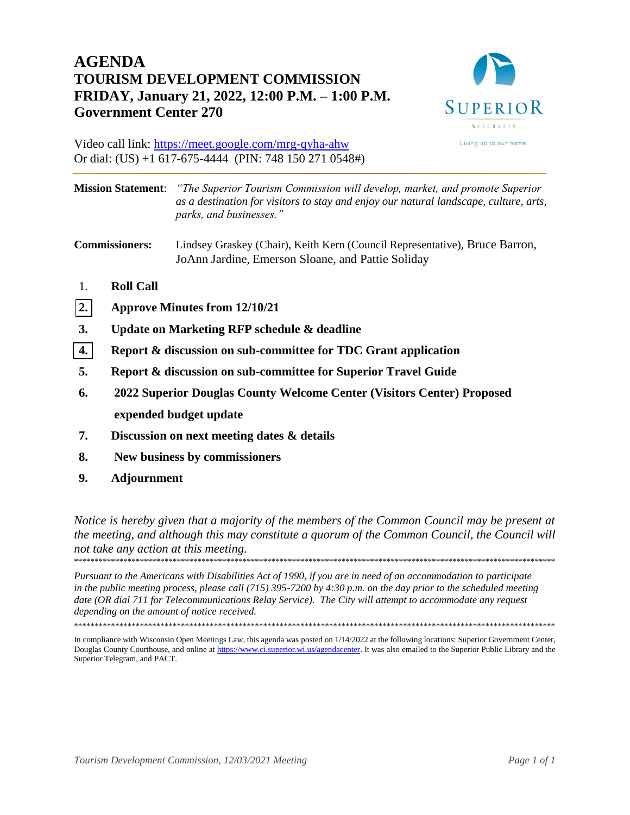# **AGENDA TOURISM DEVELOPMENT COMMISSION FRIDAY, January 21, 2022, 12:00 P.M. – 1:00 P.M. Government Center 270**



Video call link: https://meet.google.com/mrg-qyha-ahw Or dial: (US) +1 617-675-4444 (PIN: 748 150 271 0548#)

**Mission Statement**: *"The Superior Tourism Commission will develop, market, and promote Superior as a destination for visitors to stay and enjoy our natural landscape, culture, arts, parks, and businesses."* **Commissioners:** Lindsey Graskey (Chair), Keith Kern (Council Representative), Bruce Barron, JoAnn Jardine, Emerson Sloane, and Pattie Soliday

- 1. **Roll Call**
- **[2.](#page-1-0) Approve Minutes from 12/10/21**
- **3. Update on Marketing RFP schedule & deadline**
- **[4.](#page-4-0) Report & discussion on sub-committee for TDC Grant application**
- **5. Report & discussion on sub-committee for Superior Travel Guide**
- **6. 2022 Superior Douglas County Welcome Center (Visitors Center) Proposed expended budget update**
- **7. Discussion on next meeting dates & details**
- **8. New business by commissioners**
- **9. Adjournment**

*Notice is hereby given that a majority of the members of the Common Council may be present at the meeting, and although this may constitute a quorum of the Common Council, the Council will not take any action at this meeting.*  \*\*\*\*\*\*\*\*\*\*\*\*\*\*\*\*\*\*\*\*\*\*\*\*\*\*\*\*\*\*\*\*\*\*\*\*\*\*\*\*\*\*\*\*\*\*\*\*\*\*\*\*\*\*\*\*\*\*\*\*\*\*\*\*\*\*\*\*\*\*\*\*\*\*\*\*\*\*\*\*\*\*\*\*\*\*\*\*\*\*\*\*\*\*\*\*\*\*\*\*\*\*\*\*\*\*\*\*\*\*\*\*\*\*\*\*\*

*Pursuant to the Americans with Disabilities Act of 1990, if you are in need of an accommodation to participate in the public meeting process, please call (715) 395-7200 by 4:30 p.m. on the day prior to the scheduled meeting date (OR dial 711 for Telecommunications Relay Service). The City will attempt to accommodate any request depending on the amount of notice received.* 

\*\*\*\*\*\*\*\*\*\*\*\*\*\*\*\*\*\*\*\*\*\*\*\*\*\*\*\*\*\*\*\*\*\*\*\*\*\*\*\*\*\*\*\*\*\*\*\*\*\*\*\*\*\*\*\*\*\*\*\*\*\*\*\*\*\*\*\*\*\*\*\*\*\*\*\*\*\*\*\*\*\*\*\*\*\*\*\*\*\*\*\*\*\*\*\*\*\*\*\*\*\*\*\*\*\*\*\*\*\*\*\*\*\*\*\*\*

In compliance with Wisconsin Open Meetings Law, this agenda was posted on 1/14/2022 at the following locations: Superior Government Center, Douglas County Courthouse, and online at https://www.ci.superior.wi.us/agendacenter. It was also emailed to the Superior Public Library and the Superior Telegram, and PACT.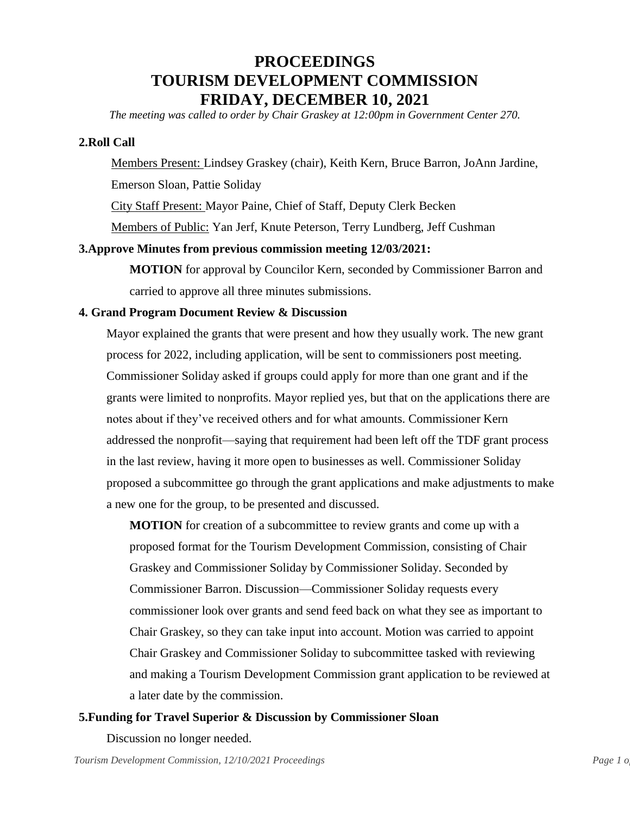# **PROCEEDINGS TOURISM DEVELOPMENT COMMISSION FRIDAY, DECEMBER 10, 2021**

<span id="page-1-0"></span>*The meeting was called to order by Chair Graskey at 12:00pm in Government Center 270.*

### **2.Roll Call**

Members Present: Lindsey Graskey (chair), Keith Kern, Bruce Barron, JoAnn Jardine, Emerson Sloan, Pattie Soliday

City Staff Present: Mayor Paine, Chief of Staff, Deputy Clerk Becken

Members of Public: Yan Jerf, Knute Peterson, Terry Lundberg, Jeff Cushman

#### **3.Approve Minutes from previous commission meeting 12/03/2021:**

**MOTION** for approval by Councilor Kern, seconded by Commissioner Barron and carried to approve all three minutes submissions.

#### **4. Grand Program Document Review & Discussion**

Mayor explained the grants that were present and how they usually work. The new grant process for 2022, including application, will be sent to commissioners post meeting. Commissioner Soliday asked if groups could apply for more than one grant and if the grants were limited to nonprofits. Mayor replied yes, but that on the applications there are notes about if they've received others and for what amounts. Commissioner Kern addressed the nonprofit—saying that requirement had been left off the TDF grant process in the last review, having it more open to businesses as well. Commissioner Soliday proposed a subcommittee go through the grant applications and make adjustments to make a new one for the group, to be presented and discussed.

**MOTION** for creation of a subcommittee to review grants and come up with a proposed format for the Tourism Development Commission, consisting of Chair Graskey and Commissioner Soliday by Commissioner Soliday. Seconded by Commissioner Barron. Discussion—Commissioner Soliday requests every commissioner look over grants and send feed back on what they see as important to Chair Graskey, so they can take input into account. Motion was carried to appoint Chair Graskey and Commissioner Soliday to subcommittee tasked with reviewing and making a Tourism Development Commission grant application to be reviewed at a later date by the commission.

### **5.Funding for Travel Superior & Discussion by Commissioner Sloan**

Discussion no longer needed.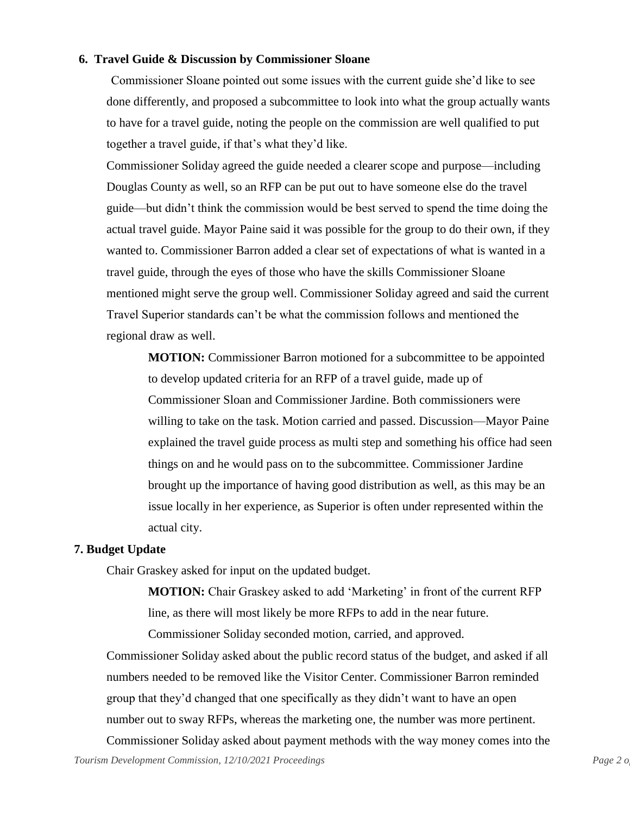#### **6. Travel Guide & Discussion by Commissioner Sloane**

Commissioner Sloane pointed out some issues with the current guide she'd like to see done differently, and proposed a subcommittee to look into what the group actually wants to have for a travel guide, noting the people on the commission are well qualified to put together a travel guide, if that's what they'd like.

Commissioner Soliday agreed the guide needed a clearer scope and purpose—including Douglas County as well, so an RFP can be put out to have someone else do the travel guide—but didn't think the commission would be best served to spend the time doing the actual travel guide. Mayor Paine said it was possible for the group to do their own, if they wanted to. Commissioner Barron added a clear set of expectations of what is wanted in a travel guide, through the eyes of those who have the skills Commissioner Sloane mentioned might serve the group well. Commissioner Soliday agreed and said the current Travel Superior standards can't be what the commission follows and mentioned the regional draw as well.

**MOTION:** Commissioner Barron motioned for a subcommittee to be appointed to develop updated criteria for an RFP of a travel guide, made up of Commissioner Sloan and Commissioner Jardine. Both commissioners were willing to take on the task. Motion carried and passed. Discussion—Mayor Paine explained the travel guide process as multi step and something his office had seen things on and he would pass on to the subcommittee. Commissioner Jardine brought up the importance of having good distribution as well, as this may be an issue locally in her experience, as Superior is often under represented within the actual city.

#### **7. Budget Update**

Chair Graskey asked for input on the updated budget.

**MOTION:** Chair Graskey asked to add 'Marketing' in front of the current RFP line, as there will most likely be more RFPs to add in the near future.

Commissioner Soliday seconded motion, carried, and approved.

Commissioner Soliday asked about the public record status of the budget, and asked if all numbers needed to be removed like the Visitor Center. Commissioner Barron reminded group that they'd changed that one specifically as they didn't want to have an open number out to sway RFPs, whereas the marketing one, the number was more pertinent.

*Tourism Development Commission, 12/10/2021 Proceedings Page 2.0 Page 2.0* Commissioner Soliday asked about payment methods with the way money comes into the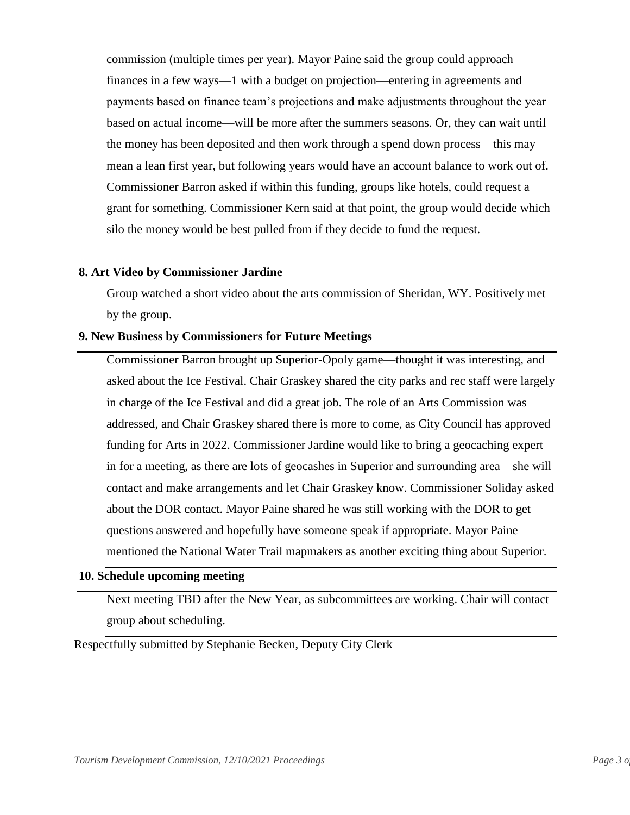commission (multiple times per year). Mayor Paine said the group could approach finances in a few ways—1 with a budget on projection—entering in agreements and payments based on finance team's projections and make adjustments throughout the year based on actual income—will be more after the summers seasons. Or, they can wait until the money has been deposited and then work through a spend down process—this may mean a lean first year, but following years would have an account balance to work out of. Commissioner Barron asked if within this funding, groups like hotels, could request a grant for something. Commissioner Kern said at that point, the group would decide which silo the money would be best pulled from if they decide to fund the request.

#### **8. Art Video by Commissioner Jardine**

Group watched a short video about the arts commission of Sheridan, WY. Positively met by the group.

#### **9. New Business by Commissioners for Future Meetings**

Commissioner Barron brought up Superior-Opoly game—thought it was interesting, and asked about the Ice Festival. Chair Graskey shared the city parks and rec staff were largely in charge of the Ice Festival and did a great job. The role of an Arts Commission was addressed, and Chair Graskey shared there is more to come, as City Council has approved funding for Arts in 2022. Commissioner Jardine would like to bring a geocaching expert in for a meeting, as there are lots of geocashes in Superior and surrounding area—she will contact and make arrangements and let Chair Graskey know. Commissioner Soliday asked about the DOR contact. Mayor Paine shared he was still working with the DOR to get questions answered and hopefully have someone speak if appropriate. Mayor Paine mentioned the National Water Trail mapmakers as another exciting thing about Superior.

### **10. Schedule upcoming meeting**

Next meeting TBD after the New Year, as subcommittees are working. Chair will contact group about scheduling.

Respectfully submitted by Stephanie Becken, Deputy City Clerk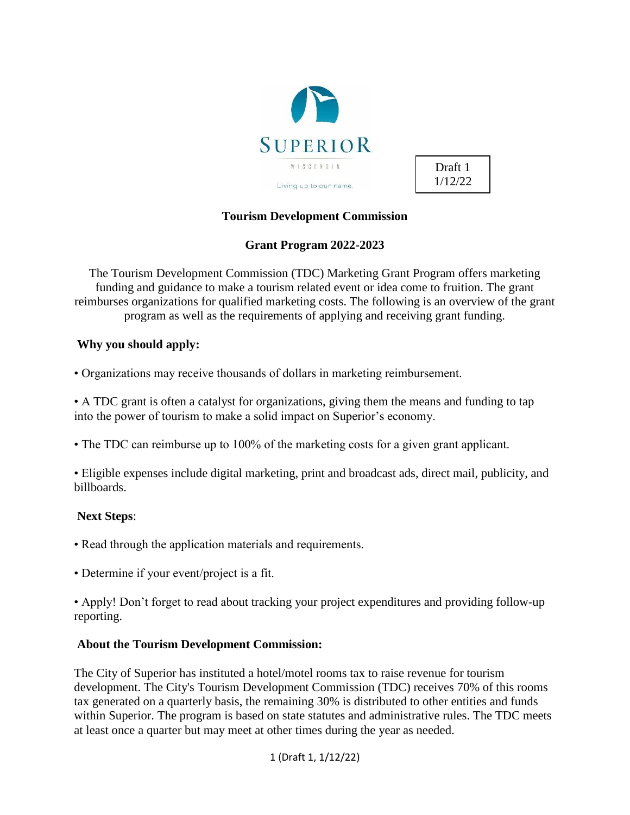<span id="page-4-0"></span>

Draft 1 1/12/22

## **Tourism Development Commission**

## **Grant Program 2022-2023**

The Tourism Development Commission (TDC) Marketing Grant Program offers marketing funding and guidance to make a tourism related event or idea come to fruition. The grant reimburses organizations for qualified marketing costs. The following is an overview of the grant program as well as the requirements of applying and receiving grant funding.

## **Why you should apply:**

• Organizations may receive thousands of dollars in marketing reimbursement.

• A TDC grant is often a catalyst for organizations, giving them the means and funding to tap into the power of tourism to make a solid impact on Superior's economy.

• The TDC can reimburse up to 100% of the marketing costs for a given grant applicant.

• Eligible expenses include digital marketing, print and broadcast ads, direct mail, publicity, and billboards.

## **Next Steps**:

- Read through the application materials and requirements.
- Determine if your event/project is a fit.

• Apply! Don't forget to read about tracking your project expenditures and providing follow-up reporting.

### **About the Tourism Development Commission:**

The City of Superior has instituted a hotel/motel rooms tax to raise revenue for tourism development. The City's Tourism Development Commission (TDC) receives 70% of this rooms tax generated on a quarterly basis, the remaining 30% is distributed to other entities and funds within Superior. The program is based on state statutes and administrative rules. The TDC meets at least once a quarter but may meet at other times during the year as needed.

1 (Draft 1, 1/12/22)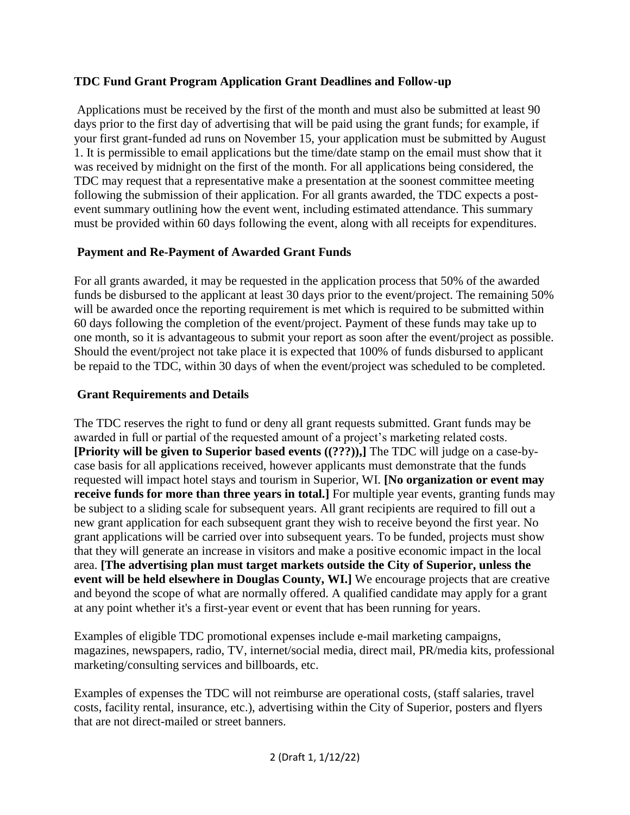# **TDC Fund Grant Program Application Grant Deadlines and Follow-up**

Applications must be received by the first of the month and must also be submitted at least 90 days prior to the first day of advertising that will be paid using the grant funds; for example, if your first grant-funded ad runs on November 15, your application must be submitted by August 1. It is permissible to email applications but the time/date stamp on the email must show that it was received by midnight on the first of the month. For all applications being considered, the TDC may request that a representative make a presentation at the soonest committee meeting following the submission of their application. For all grants awarded, the TDC expects a postevent summary outlining how the event went, including estimated attendance. This summary must be provided within 60 days following the event, along with all receipts for expenditures.

# **Payment and Re-Payment of Awarded Grant Funds**

For all grants awarded, it may be requested in the application process that 50% of the awarded funds be disbursed to the applicant at least 30 days prior to the event/project. The remaining 50% will be awarded once the reporting requirement is met which is required to be submitted within 60 days following the completion of the event/project. Payment of these funds may take up to one month, so it is advantageous to submit your report as soon after the event/project as possible. Should the event/project not take place it is expected that 100% of funds disbursed to applicant be repaid to the TDC, within 30 days of when the event/project was scheduled to be completed.

# **Grant Requirements and Details**

The TDC reserves the right to fund or deny all grant requests submitted. Grant funds may be awarded in full or partial of the requested amount of a project's marketing related costs. **[Priority will be given to Superior based events ((???)),]** The TDC will judge on a case-bycase basis for all applications received, however applicants must demonstrate that the funds requested will impact hotel stays and tourism in Superior, WI. **[No organization or event may receive funds for more than three years in total.]** For multiple year events, granting funds may be subject to a sliding scale for subsequent years. All grant recipients are required to fill out a new grant application for each subsequent grant they wish to receive beyond the first year. No grant applications will be carried over into subsequent years. To be funded, projects must show that they will generate an increase in visitors and make a positive economic impact in the local area. **[The advertising plan must target markets outside the City of Superior, unless the event will be held elsewhere in Douglas County, WI.]** We encourage projects that are creative and beyond the scope of what are normally offered. A qualified candidate may apply for a grant at any point whether it's a first-year event or event that has been running for years.

Examples of eligible TDC promotional expenses include e-mail marketing campaigns, magazines, newspapers, radio, TV, internet/social media, direct mail, PR/media kits, professional marketing/consulting services and billboards, etc.

Examples of expenses the TDC will not reimburse are operational costs, (staff salaries, travel costs, facility rental, insurance, etc.), advertising within the City of Superior, posters and flyers that are not direct-mailed or street banners.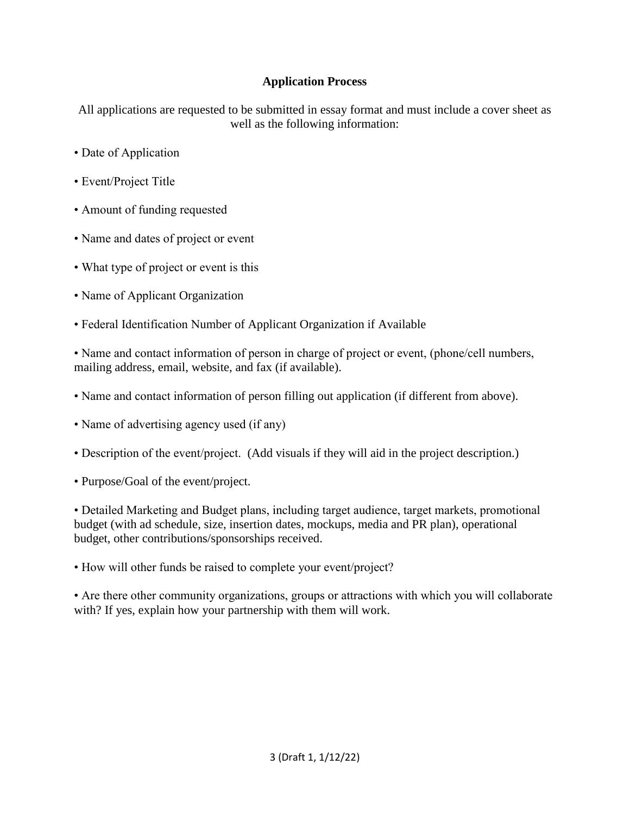# **Application Process**

All applications are requested to be submitted in essay format and must include a cover sheet as well as the following information:

- Date of Application
- Event/Project Title
- Amount of funding requested
- Name and dates of project or event
- What type of project or event is this
- Name of Applicant Organization
- Federal Identification Number of Applicant Organization if Available

• Name and contact information of person in charge of project or event, (phone/cell numbers, mailing address, email, website, and fax (if available).

- Name and contact information of person filling out application (if different from above).
- Name of advertising agency used (if any)
- Description of the event/project. (Add visuals if they will aid in the project description.)
- Purpose/Goal of the event/project.

• Detailed Marketing and Budget plans, including target audience, target markets, promotional budget (with ad schedule, size, insertion dates, mockups, media and PR plan), operational budget, other contributions/sponsorships received.

• How will other funds be raised to complete your event/project?

• Are there other community organizations, groups or attractions with which you will collaborate with? If yes, explain how your partnership with them will work.